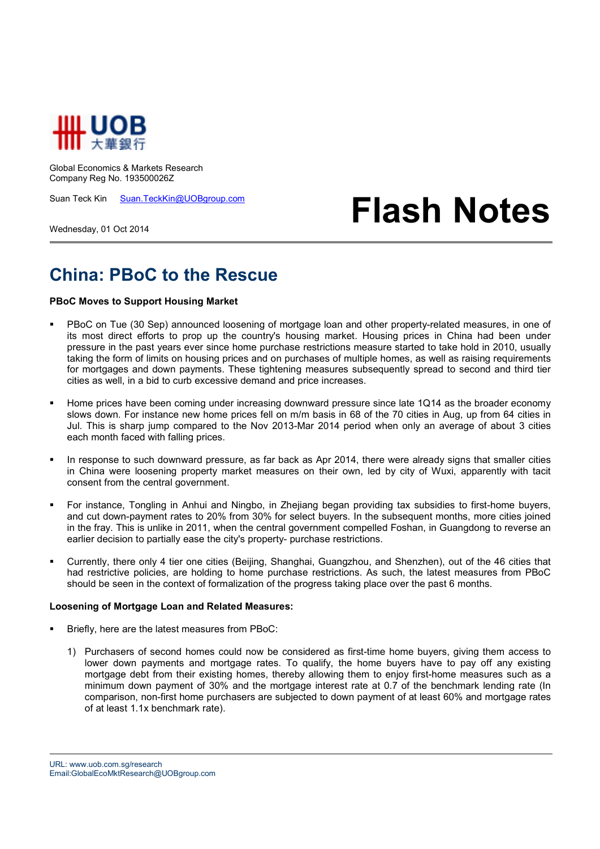

Global Economics & Markets Research Company Reg No. 193500026Z

Suan Teck Kin Suan.TeckKin@UOBgroup.com

Wednesday, 01 Oct 2014

## **Flash Notes**

## **China: PBoC to the Rescue**

## **PBoC Moves to Support Housing Market**

- PBoC on Tue (30 Sep) announced loosening of mortgage loan and other property-related measures, in one of its most direct efforts to prop up the country's housing market. Housing prices in China had been under pressure in the past years ever since home purchase restrictions measure started to take hold in 2010, usually taking the form of limits on housing prices and on purchases of multiple homes, as well as raising requirements for mortgages and down payments. These tightening measures subsequently spread to second and third tier cities as well, in a bid to curb excessive demand and price increases.
- Home prices have been coming under increasing downward pressure since late 1Q14 as the broader economy slows down. For instance new home prices fell on m/m basis in 68 of the 70 cities in Aug, up from 64 cities in Jul. This is sharp jump compared to the Nov 2013-Mar 2014 period when only an average of about 3 cities each month faced with falling prices.
- In response to such downward pressure, as far back as Apr 2014, there were already signs that smaller cities in China were loosening property market measures on their own, led by city of Wuxi, apparently with tacit consent from the central government.
- For instance, Tongling in Anhui and Ningbo, in Zhejiang began providing tax subsidies to first-home buyers, and cut down-payment rates to 20% from 30% for select buyers. In the subsequent months, more cities joined in the fray. This is unlike in 2011, when the central government compelled Foshan, in Guangdong to reverse an earlier decision to partially ease the city's property- purchase restrictions.
- Currently, there only 4 tier one cities (Beijing, Shanghai, Guangzhou, and Shenzhen), out of the 46 cities that had restrictive policies, are holding to home purchase restrictions. As such, the latest measures from PBoC should be seen in the context of formalization of the progress taking place over the past 6 months.

## **Loosening of Mortgage Loan and Related Measures:**

- Briefly, here are the latest measures from PBoC:
	- 1) Purchasers of second homes could now be considered as first-time home buyers, giving them access to lower down payments and mortgage rates. To qualify, the home buyers have to pay off any existing mortgage debt from their existing homes, thereby allowing them to enjoy first-home measures such as a minimum down payment of 30% and the mortgage interest rate at 0.7 of the benchmark lending rate (In comparison, non-first home purchasers are subjected to down payment of at least 60% and mortgage rates of at least 1.1x benchmark rate).